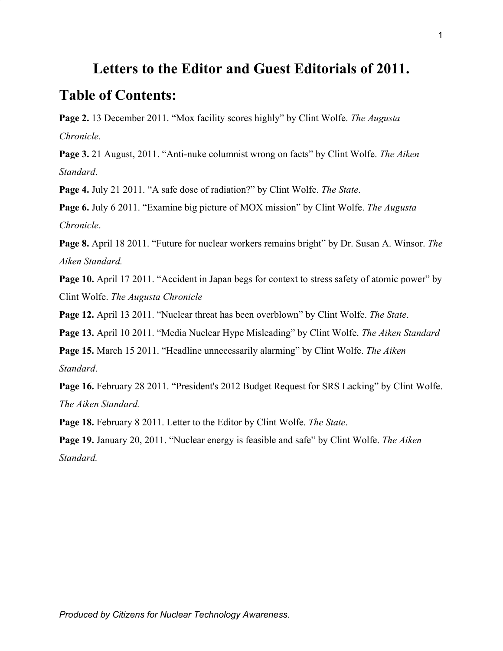# **Letters to the Editor and Guest Editorials of 2011.**

## **Table of Contents:**

**Page 2.** 13 December 2011. "Mox facility scores highly" by Clint Wolfe. *The Augusta Chronicle.*

**Page 3.** 21 August, 2011. "Anti-nuke columnist wrong on facts" by Clint Wolfe. *The Aiken Standard*.

**Page 4.** July 21 2011. "A safe dose of radiation?" by Clint Wolfe. *The State*.

**Page 6.** July 6 2011. "Examine big picture of MOX mission" by Clint Wolfe. *The Augusta Chronicle*.

**Page 8.** April 18 2011. "Future for nuclear workers remains bright" by Dr. Susan A. Winsor. *The Aiken Standard.*

**Page 10.** April 17 2011. "Accident in Japan begs for context to stress safety of atomic power" by Clint Wolfe. *The Augusta Chronicle*

**Page 12.** April 13 2011. "Nuclear threat has been overblown" by Clint Wolfe. *The State*.

**Page 13.** April 10 2011. "Media Nuclear Hype Misleading" by Clint Wolfe. *The Aiken Standard*

**Page 15.** March 15 2011. "Headline unnecessarily alarming" by Clint Wolfe. *The Aiken Standard*.

Page 16. February 28 2011. "President's 2012 Budget Request for SRS Lacking" by Clint Wolfe. *The Aiken Standard.*

**Page 18.** February 8 2011. Letter to the Editor by Clint Wolfe. *The State*.

**Page 19.** January 20, 2011. "Nuclear energy is feasible and safe" by Clint Wolfe. *The Aiken Standard.*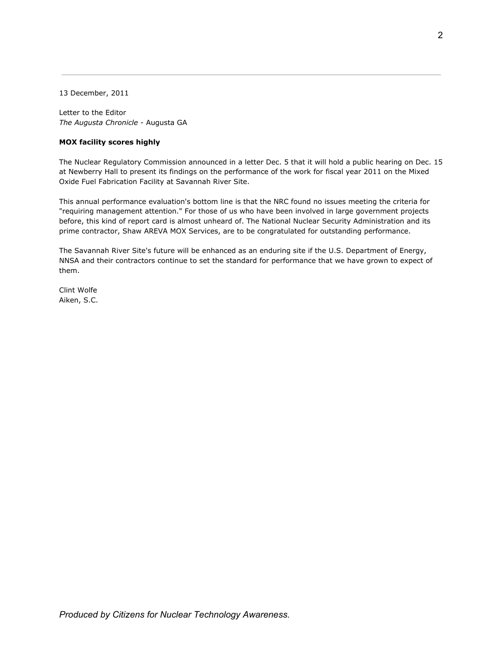13 December, 2011

Letter to the Editor *The Augusta Chronicle* - Augusta GA

### **MOX facility scores highly**

The Nuclear Regulatory Commission announced in a letter Dec. 5 that it will hold a public hearing on Dec. 15 at Newberry Hall to present its findings on the performance of the work for fiscal year 2011 on the Mixed Oxide Fuel Fabrication Facility at Savannah River Site.

This annual performance evaluation's bottom line is that the NRC found no issues meeting the criteria for "requiring management attention." For those of us who have been involved in large government projects before, this kind of report card is almost unheard of. The National Nuclear Security Administration and its prime contractor, Shaw AREVA MOX Services, are to be congratulated for outstanding performance.

The Savannah River Site's future will be enhanced as an enduring site if the U.S. Department of Energy, NNSA and their contractors continue to set the standard for performance that we have grown to expect of them.

Clint Wolfe Aiken, S.C.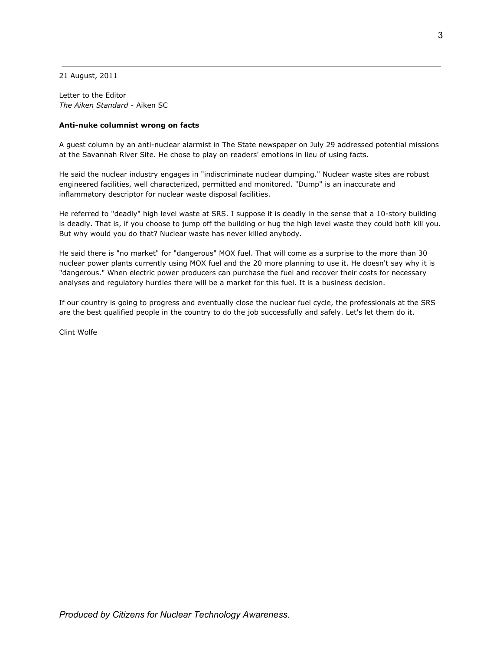21 August, 2011

Letter to the Editor *The Aiken Standard* - Aiken SC

#### **Anti-nuke columnist wrong on facts**

A guest column by an anti-nuclear alarmist in The State newspaper on July 29 addressed potential missions at the Savannah River Site. He chose to play on readers' emotions in lieu of using facts.

He said the nuclear industry engages in "indiscriminate nuclear dumping." Nuclear waste sites are robust engineered facilities, well characterized, permitted and monitored. "Dump" is an inaccurate and inflammatory descriptor for nuclear waste disposal facilities.

He referred to "deadly" high level waste at SRS. I suppose it is deadly in the sense that a 10-story building is deadly. That is, if you choose to jump off the building or hug the high level waste they could both kill you. But why would you do that? Nuclear waste has never killed anybody.

He said there is "no market" for "dangerous" MOX fuel. That will come as a surprise to the more than 30 nuclear power plants currently using MOX fuel and the 20 more planning to use it. He doesn't say why it is "dangerous." When electric power producers can purchase the fuel and recover their costs for necessary analyses and regulatory hurdles there will be a market for this fuel. It is a business decision.

If our country is going to progress and eventually close the nuclear fuel cycle, the professionals at the SRS are the best qualified people in the country to do the job successfully and safely. Let's let them do it.

Clint Wolfe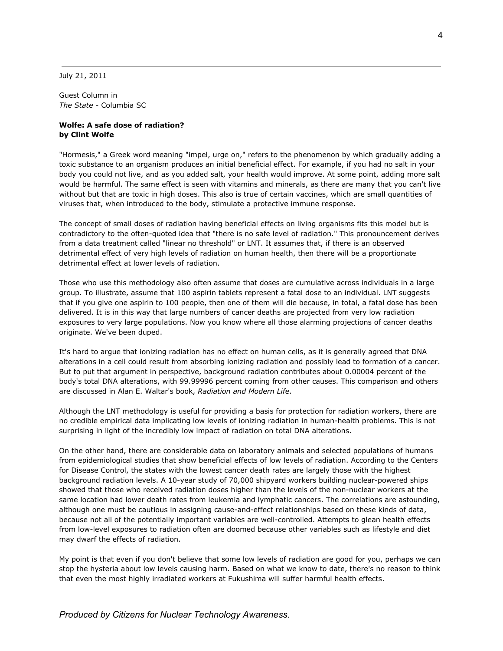July 21, 2011

Guest Column in *The State* - Columbia SC

#### **Wolfe: A safe dose of radiation? by Clint Wolfe**

"Hormesis," a Greek word meaning "impel, urge on," refers to the phenomenon by which gradually adding a toxic substance to an organism produces an initial beneficial effect. For example, if you had no salt in your body you could not live, and as you added salt, your health would improve. At some point, adding more salt would be harmful. The same effect is seen with vitamins and minerals, as there are many that you can't live without but that are toxic in high doses. This also is true of certain vaccines, which are small quantities of viruses that, when introduced to the body, stimulate a protective immune response.

The concept of small doses of radiation having beneficial effects on living organisms fits this model but is contradictory to the often-quoted idea that "there is no safe level of radiation." This pronouncement derives from a data treatment called "linear no threshold" or LNT. It assumes that, if there is an observed detrimental effect of very high levels of radiation on human health, then there will be a proportionate detrimental effect at lower levels of radiation.

Those who use this methodology also often assume that doses are cumulative across individuals in a large group. To illustrate, assume that 100 aspirin tablets represent a fatal dose to an individual. LNT suggests that if you give one aspirin to 100 people, then one of them will die because, in total, a fatal dose has been delivered. It is in this way that large numbers of cancer deaths are projected from very low radiation exposures to very large populations. Now you know where all those alarming projections of cancer deaths originate. We've been duped.

It's hard to argue that ionizing radiation has no effect on human cells, as it is generally agreed that DNA alterations in a cell could result from absorbing ionizing radiation and possibly lead to formation of a cancer. But to put that argument in perspective, background radiation contributes about 0.00004 percent of the body's total DNA alterations, with 99.99996 percent coming from other causes. This comparison and others are discussed in Alan E. Waltar's book, *Radiation and Modern Life*.

Although the LNT methodology is useful for providing a basis for protection for radiation workers, there are no credible empirical data implicating low levels of ionizing radiation in human-health problems. This is not surprising in light of the incredibly low impact of radiation on total DNA alterations.

On the other hand, there are considerable data on laboratory animals and selected populations of humans from epidemiological studies that show beneficial effects of low levels of radiation. According to the Centers for Disease Control, the states with the lowest cancer death rates are largely those with the highest background radiation levels. A 10-year study of 70,000 shipyard workers building nuclear-powered ships showed that those who received radiation doses higher than the levels of the non-nuclear workers at the same location had lower death rates from leukemia and lymphatic cancers. The correlations are astounding, although one must be cautious in assigning cause-and-effect relationships based on these kinds of data, because not all of the potentially important variables are well-controlled. Attempts to glean health effects from low-level exposures to radiation often are doomed because other variables such as lifestyle and diet may dwarf the effects of radiation.

My point is that even if you don't believe that some low levels of radiation are good for you, perhaps we can stop the hysteria about low levels causing harm. Based on what we know to date, there's no reason to think that even the most highly irradiated workers at Fukushima will suffer harmful health effects.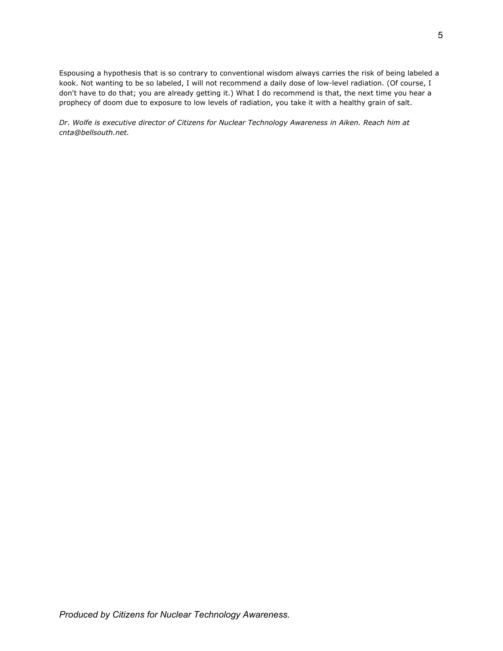Espousing a hypothesis that is so contrary to conventional wisdom always carries the risk of being labeled a kook. Not wanting to be so labeled, I will not recommend a daily dose of low-level radiation. (Of course, I don't have to do that; you are already getting it.) What I do recommend is that, the next time you hear a prophecy of doom due to exposure to low levels of radiation, you take it with a healthy grain of salt.

*Dr. Wolfe is executive director of Citizens for Nuclear Technology Awareness in Aiken. Reach him at cnta@bellsouth.net.*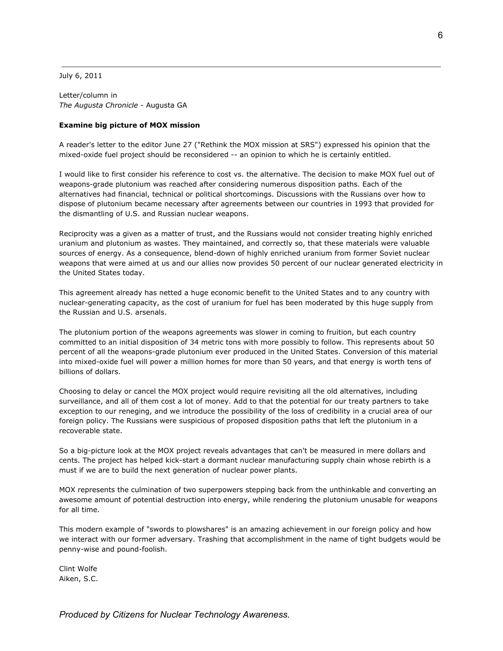July 6, 2011

Letter/column in *The Augusta Chronicle* - Augusta GA

#### **Examine big picture of MOX mission**

A reader's letter to the editor June 27 ("Rethink the MOX mission at SRS") expressed his opinion that the mixed-oxide fuel project should be reconsidered -- an opinion to which he is certainly entitled.

I would like to first consider his reference to cost vs. the alternative. The decision to make MOX fuel out of weapons-grade plutonium was reached after considering numerous disposition paths. Each of the alternatives had financial, technical or political shortcomings. Discussions with the Russians over how to dispose of plutonium became necessary after agreements between our countries in 1993 that provided for the dismantling of U.S. and Russian nuclear weapons.

Reciprocity was a given as a matter of trust, and the Russians would not consider treating highly enriched uranium and plutonium as wastes. They maintained, and correctly so, that these materials were valuable sources of energy. As a consequence, blend-down of highly enriched uranium from former Soviet nuclear weapons that were aimed at us and our allies now provides 50 percent of our nuclear generated electricity in the United States today.

This agreement already has netted a huge economic benefit to the United States and to any country with nuclear-generating capacity, as the cost of uranium for fuel has been moderated by this huge supply from the Russian and U.S. arsenals.

The plutonium portion of the weapons agreements was slower in coming to fruition, but each country committed to an initial disposition of 34 metric tons with more possibly to follow. This represents about 50 percent of all the weapons-grade plutonium ever produced in the United States. Conversion of this material into mixed-oxide fuel will power a million homes for more than 50 years, and that energy is worth tens of billions of dollars.

Choosing to delay or cancel the MOX project would require revisiting all the old alternatives, including surveillance, and all of them cost a lot of money. Add to that the potential for our treaty partners to take exception to our reneging, and we introduce the possibility of the loss of credibility in a crucial area of our foreign policy. The Russians were suspicious of proposed disposition paths that left the plutonium in a recoverable state.

So a big-picture look at the MOX project reveals advantages that can't be measured in mere dollars and cents. The project has helped kick-start a dormant nuclear manufacturing supply chain whose rebirth is a must if we are to build the next generation of nuclear power plants.

MOX represents the culmination of two superpowers stepping back from the unthinkable and converting an awesome amount of potential destruction into energy, while rendering the plutonium unusable for weapons for all time.

This modern example of "swords to plowshares" is an amazing achievement in our foreign policy and how we interact with our former adversary. Trashing that accomplishment in the name of tight budgets would be penny-wise and pound-foolish.

Clint Wolfe Aiken, S.C.

*Produced by Citizens for Nuclear Technology Awareness.*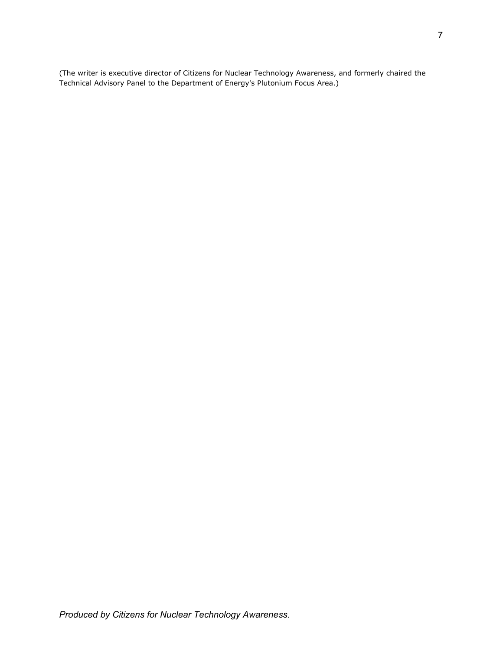(The writer is executive director of Citizens for Nuclear Technology Awareness, and formerly chaired the Technical Advisory Panel to the Department of Energy's Plutonium Focus Area.)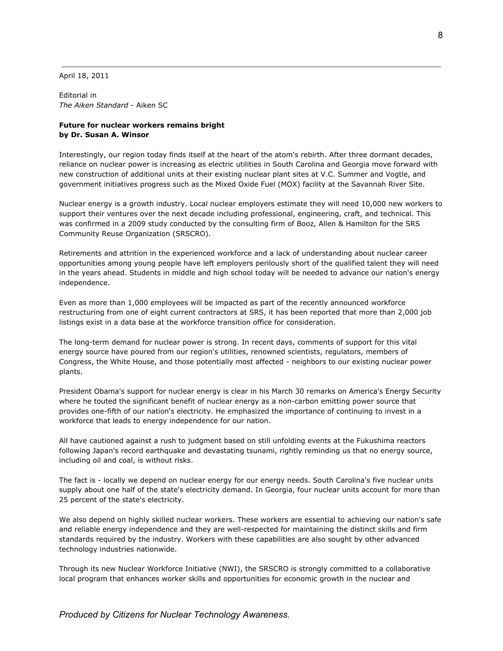April 18, 2011

Editorial in *The Aiken Standard* - Aiken SC

## **Future for nuclear workers remains bright by Dr. Susan A. Winsor**

Interestingly, our region today finds itself at the heart of the atom's rebirth. After three dormant decades, reliance on nuclear power is increasing as electric utilities in South Carolina and Georgia move forward with new construction of additional units at their existing nuclear plant sites at V.C. Summer and Vogtle, and government initiatives progress such as the Mixed Oxide Fuel (MOX) facility at the Savannah River Site.

Nuclear energy is a growth industry. Local nuclear employers estimate they will need 10,000 new workers to support their ventures over the next decade including professional, engineering, craft, and technical. This was confirmed in a 2009 study conducted by the consulting firm of Booz, Allen & Hamilton for the SRS Community Reuse Organization (SRSCRO).

Retirements and attrition in the experienced workforce and a lack of understanding about nuclear career opportunities among young people have left employers perilously short of the qualified talent they will need in the years ahead. Students in middle and high school today will be needed to advance our nation's energy independence.

Even as more than 1,000 employees will be impacted as part of the recently announced workforce restructuring from one of eight current contractors at SRS, it has been reported that more than 2,000 job listings exist in a data base at the workforce transition office for consideration.

The long-term demand for nuclear power is strong. In recent days, comments of support for this vital energy source have poured from our region's utilities, renowned scientists, regulators, members of Congress, the White House, and those potentially most affected - neighbors to our existing nuclear power plants.

President Obama's support for nuclear energy is clear in his March 30 remarks on America's Energy Security where he touted the significant benefit of nuclear energy as a non-carbon emitting power source that provides one-fifth of our nation's electricity. He emphasized the importance of continuing to invest in a workforce that leads to energy independence for our nation.

All have cautioned against a rush to judgment based on still unfolding events at the Fukushima reactors following Japan's record earthquake and devastating tsunami, rightly reminding us that no energy source, including oil and coal, is without risks.

The fact is - locally we depend on nuclear energy for our energy needs. South Carolina's five nuclear units supply about one half of the state's electricity demand. In Georgia, four nuclear units account for more than 25 percent of the state's electricity.

We also depend on highly skilled nuclear workers. These workers are essential to achieving our nation's safe and reliable energy independence and they are well-respected for maintaining the distinct skills and firm standards required by the industry. Workers with these capabilities are also sought by other advanced technology industries nationwide.

Through its new Nuclear Workforce Initiative (NWI), the SRSCRO is strongly committed to a collaborative local program that enhances worker skills and opportunities for economic growth in the nuclear and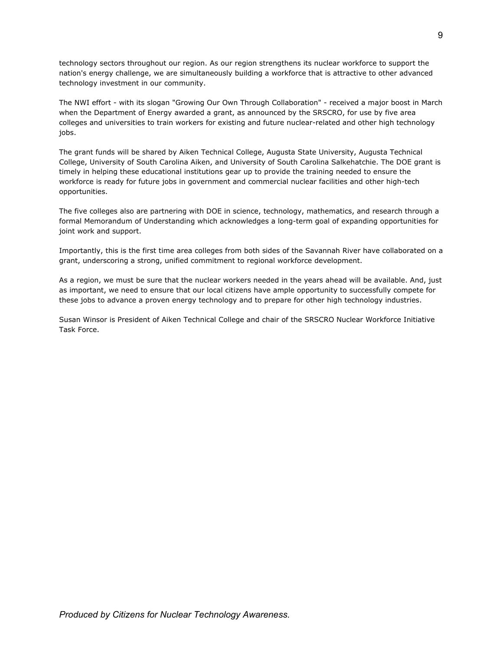technology sectors throughout our region. As our region strengthens its nuclear workforce to support the nation's energy challenge, we are simultaneously building a workforce that is attractive to other advanced technology investment in our community.

The NWI effort - with its slogan "Growing Our Own Through Collaboration" - received a major boost in March when the Department of Energy awarded a grant, as announced by the SRSCRO, for use by five area colleges and universities to train workers for existing and future nuclear-related and other high technology jobs.

The grant funds will be shared by Aiken Technical College, Augusta State University, Augusta Technical College, University of South Carolina Aiken, and University of South Carolina Salkehatchie. The DOE grant is timely in helping these educational institutions gear up to provide the training needed to ensure the workforce is ready for future jobs in government and commercial nuclear facilities and other high-tech opportunities.

The five colleges also are partnering with DOE in science, technology, mathematics, and research through a formal Memorandum of Understanding which acknowledges a long-term goal of expanding opportunities for joint work and support.

Importantly, this is the first time area colleges from both sides of the Savannah River have collaborated on a grant, underscoring a strong, unified commitment to regional workforce development.

As a region, we must be sure that the nuclear workers needed in the years ahead will be available. And, just as important, we need to ensure that our local citizens have ample opportunity to successfully compete for these jobs to advance a proven energy technology and to prepare for other high technology industries.

Susan Winsor is President of Aiken Technical College and chair of the SRSCRO Nuclear Workforce Initiative Task Force.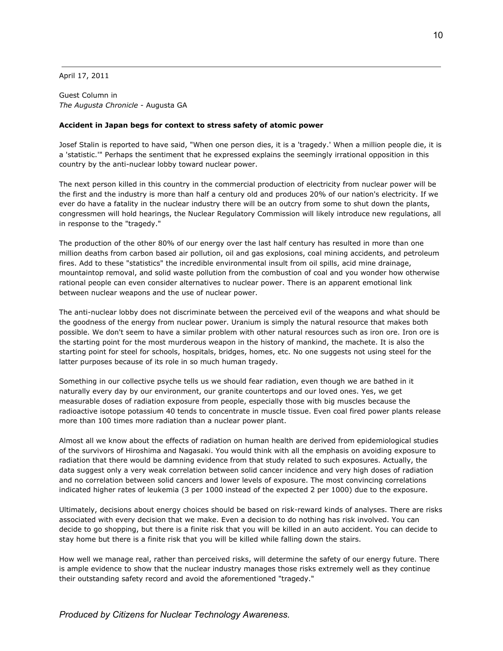April 17, 2011

Guest Column in *The Augusta Chronicle* - Augusta GA

### **Accident in Japan begs for context to stress safety of atomic power**

Josef Stalin is reported to have said, "When one person dies, it is a 'tragedy.' When a million people die, it is a 'statistic.'" Perhaps the sentiment that he expressed explains the seemingly irrational opposition in this country by the anti-nuclear lobby toward nuclear power.

The next person killed in this country in the commercial production of electricity from nuclear power will be the first and the industry is more than half a century old and produces 20% of our nation's electricity. If we ever do have a fatality in the nuclear industry there will be an outcry from some to shut down the plants, congressmen will hold hearings, the Nuclear Regulatory Commission will likely introduce new regulations, all in response to the "tragedy."

The production of the other 80% of our energy over the last half century has resulted in more than one million deaths from carbon based air pollution, oil and gas explosions, coal mining accidents, and petroleum fires. Add to these "statistics" the incredible environmental insult from oil spills, acid mine drainage, mountaintop removal, and solid waste pollution from the combustion of coal and you wonder how otherwise rational people can even consider alternatives to nuclear power. There is an apparent emotional link between nuclear weapons and the use of nuclear power.

The anti-nuclear lobby does not discriminate between the perceived evil of the weapons and what should be the goodness of the energy from nuclear power. Uranium is simply the natural resource that makes both possible. We don't seem to have a similar problem with other natural resources such as iron ore. Iron ore is the starting point for the most murderous weapon in the history of mankind, the machete. It is also the starting point for steel for schools, hospitals, bridges, homes, etc. No one suggests not using steel for the latter purposes because of its role in so much human tragedy.

Something in our collective psyche tells us we should fear radiation, even though we are bathed in it naturally every day by our environment, our granite countertops and our loved ones. Yes, we get measurable doses of radiation exposure from people, especially those with big muscles because the radioactive isotope potassium 40 tends to concentrate in muscle tissue. Even coal fired power plants release more than 100 times more radiation than a nuclear power plant.

Almost all we know about the effects of radiation on human health are derived from epidemiological studies of the survivors of Hiroshima and Nagasaki. You would think with all the emphasis on avoiding exposure to radiation that there would be damning evidence from that study related to such exposures. Actually, the data suggest only a very weak correlation between solid cancer incidence and very high doses of radiation and no correlation between solid cancers and lower levels of exposure. The most convincing correlations indicated higher rates of leukemia (3 per 1000 instead of the expected 2 per 1000) due to the exposure.

Ultimately, decisions about energy choices should be based on risk-reward kinds of analyses. There are risks associated with every decision that we make. Even a decision to do nothing has risk involved. You can decide to go shopping, but there is a finite risk that you will be killed in an auto accident. You can decide to stay home but there is a finite risk that you will be killed while falling down the stairs.

How well we manage real, rather than perceived risks, will determine the safety of our energy future. There is ample evidence to show that the nuclear industry manages those risks extremely well as they continue their outstanding safety record and avoid the aforementioned "tragedy."

*Produced by Citizens for Nuclear Technology Awareness.*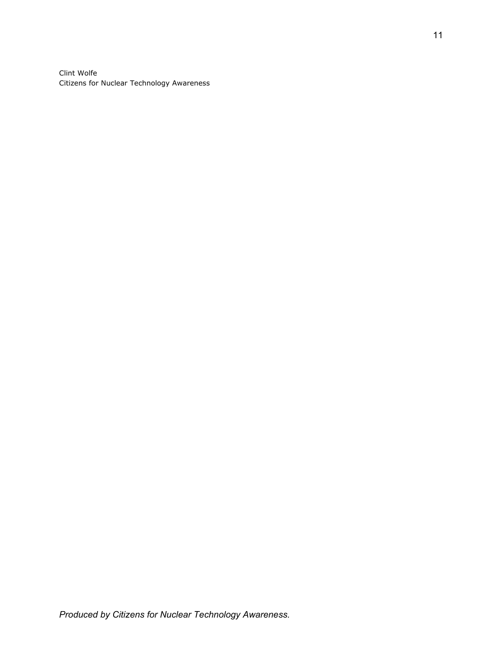Clint Wolfe Citizens for Nuclear Technology Awareness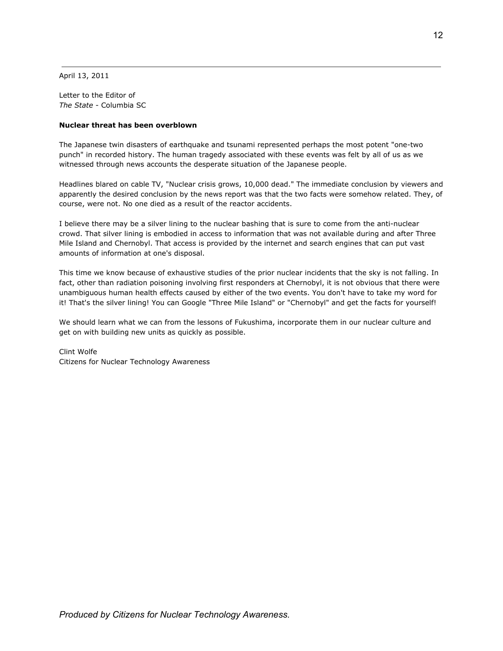April 13, 2011

Letter to the Editor of *The State* - Columbia SC

## **Nuclear threat has been overblown**

The Japanese twin disasters of earthquake and tsunami represented perhaps the most potent "one-two punch" in recorded history. The human tragedy associated with these events was felt by all of us as we witnessed through news accounts the desperate situation of the Japanese people.

Headlines blared on cable TV, "Nuclear crisis grows, 10,000 dead." The immediate conclusion by viewers and apparently the desired conclusion by the news report was that the two facts were somehow related. They, of course, were not. No one died as a result of the reactor accidents.

I believe there may be a silver lining to the nuclear bashing that is sure to come from the anti-nuclear crowd. That silver lining is embodied in access to information that was not available during and after Three Mile Island and Chernobyl. That access is provided by the internet and search engines that can put vast amounts of information at one's disposal.

This time we know because of exhaustive studies of the prior nuclear incidents that the sky is not falling. In fact, other than radiation poisoning involving first responders at Chernobyl, it is not obvious that there were unambiguous human health effects caused by either of the two events. You don't have to take my word for it! That's the silver lining! You can Google "Three Mile Island" or "Chernobyl" and get the facts for yourself!

We should learn what we can from the lessons of Fukushima, incorporate them in our nuclear culture and get on with building new units as quickly as possible.

Clint Wolfe Citizens for Nuclear Technology Awareness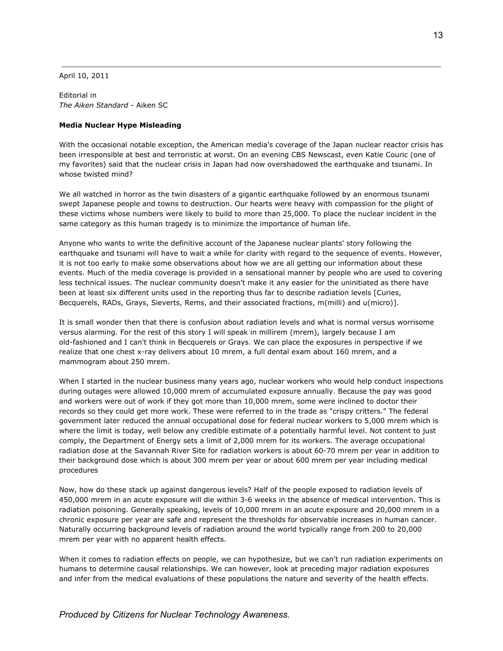April 10, 2011

Editorial in *The Aiken Standard* - Aiken SC

#### **Media Nuclear Hype Misleading**

With the occasional notable exception, the American media's coverage of the Japan nuclear reactor crisis has been irresponsible at best and terroristic at worst. On an evening CBS Newscast, even Katie Couric (one of my favorites) said that the nuclear crisis in Japan had now overshadowed the earthquake and tsunami. In whose twisted mind?

We all watched in horror as the twin disasters of a gigantic earthquake followed by an enormous tsunami swept Japanese people and towns to destruction. Our hearts were heavy with compassion for the plight of these victims whose numbers were likely to build to more than 25,000. To place the nuclear incident in the same category as this human tragedy is to minimize the importance of human life.

Anyone who wants to write the definitive account of the Japanese nuclear plants' story following the earthquake and tsunami will have to wait a while for clarity with regard to the sequence of events. However, it is not too early to make some observations about how we are all getting our information about these events. Much of the media coverage is provided in a sensational manner by people who are used to covering less technical issues. The nuclear community doesn't make it any easier for the uninitiated as there have been at least six different units used in the reporting thus far to describe radiation levels [Curies, Becquerels, RADs, Grays, Sieverts, Rems, and their associated fractions, m(milli) and u(micro)].

It is small wonder then that there is confusion about radiation levels and what is normal versus worrisome versus alarming. For the rest of this story I will speak in millirem (mrem), largely because I am old-fashioned and I can't think in Becquerels or Grays. We can place the exposures in perspective if we realize that one chest x-ray delivers about 10 mrem, a full dental exam about 160 mrem, and a mammogram about 250 mrem.

When I started in the nuclear business many years ago, nuclear workers who would help conduct inspections during outages were allowed 10,000 mrem of accumulated exposure annually. Because the pay was good and workers were out of work if they got more than 10,000 mrem, some were inclined to doctor their records so they could get more work. These were referred to in the trade as "crispy critters." The federal government later reduced the annual occupational dose for federal nuclear workers to 5,000 mrem which is where the limit is today, well below any credible estimate of a potentially harmful level. Not content to just comply, the Department of Energy sets a limit of 2,000 mrem for its workers. The average occupational radiation dose at the Savannah River Site for radiation workers is about 60-70 mrem per year in addition to their background dose which is about 300 mrem per year or about 600 mrem per year including medical procedures

Now, how do these stack up against dangerous levels? Half of the people exposed to radiation levels of 450,000 mrem in an acute exposure will die within 3-6 weeks in the absence of medical intervention. This is radiation poisoning. Generally speaking, levels of 10,000 mrem in an acute exposure and 20,000 mrem in a chronic exposure per year are safe and represent the thresholds for observable increases in human cancer. Naturally occurring background levels of radiation around the world typically range from 200 to 20,000 mrem per year with no apparent health effects.

When it comes to radiation effects on people, we can hypothesize, but we can't run radiation experiments on humans to determine causal relationships. We can however, look at preceding major radiation exposures and infer from the medical evaluations of these populations the nature and severity of the health effects.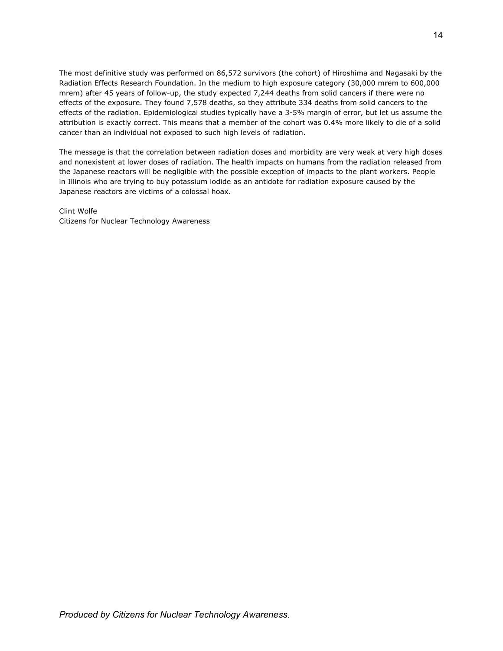The most definitive study was performed on 86,572 survivors (the cohort) of Hiroshima and Nagasaki by the Radiation Effects Research Foundation. In the medium to high exposure category (30,000 mrem to 600,000 mrem) after 45 years of follow-up, the study expected 7,244 deaths from solid cancers if there were no effects of the exposure. They found 7,578 deaths, so they attribute 334 deaths from solid cancers to the effects of the radiation. Epidemiological studies typically have a 3-5% margin of error, but let us assume the attribution is exactly correct. This means that a member of the cohort was 0.4% more likely to die of a solid cancer than an individual not exposed to such high levels of radiation.

The message is that the correlation between radiation doses and morbidity are very weak at very high doses and nonexistent at lower doses of radiation. The health impacts on humans from the radiation released from the Japanese reactors will be negligible with the possible exception of impacts to the plant workers. People in Illinois who are trying to buy potassium iodide as an antidote for radiation exposure caused by the Japanese reactors are victims of a colossal hoax.

Clint Wolfe Citizens for Nuclear Technology Awareness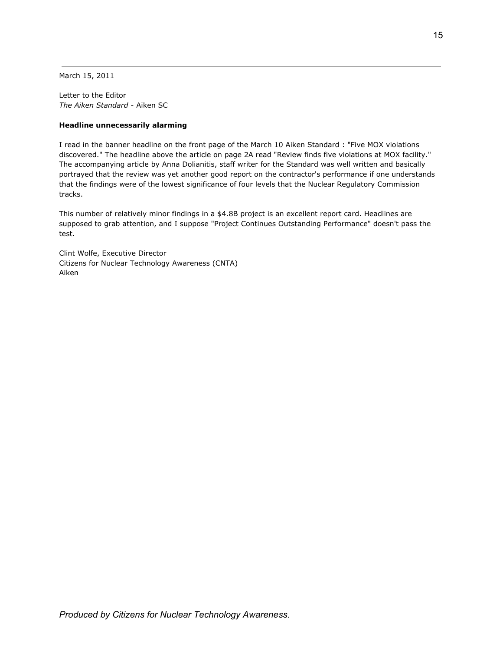March 15, 2011

Letter to the Editor *The Aiken Standard* - Aiken SC

### **Headline unnecessarily alarming**

I read in the banner headline on the front page of the March 10 Aiken Standard : "Five MOX violations discovered." The headline above the article on page 2A read "Review finds five violations at MOX facility." The accompanying article by Anna Dolianitis, staff writer for the Standard was well written and basically portrayed that the review was yet another good report on the contractor's performance if one understands that the findings were of the lowest significance of four levels that the Nuclear Regulatory Commission tracks.

This number of relatively minor findings in a \$4.8B project is an excellent report card. Headlines are supposed to grab attention, and I suppose "Project Continues Outstanding Performance" doesn't pass the test.

Clint Wolfe, Executive Director Citizens for Nuclear Technology Awareness (CNTA) Aiken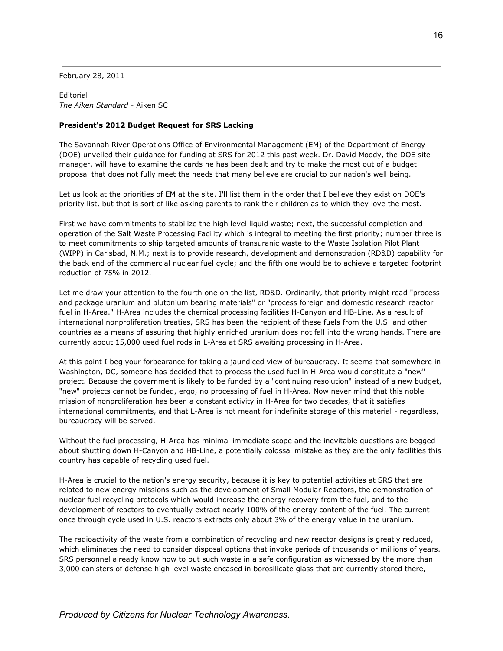February 28, 2011

Editorial *The Aiken Standard* - Aiken SC

### **President's 2012 Budget Request for SRS Lacking**

The Savannah River Operations Office of Environmental Management (EM) of the Department of Energy (DOE) unveiled their guidance for funding at SRS for 2012 this past week. Dr. David Moody, the DOE site manager, will have to examine the cards he has been dealt and try to make the most out of a budget proposal that does not fully meet the needs that many believe are crucial to our nation's well being.

Let us look at the priorities of EM at the site. I'll list them in the order that I believe they exist on DOE's priority list, but that is sort of like asking parents to rank their children as to which they love the most.

First we have commitments to stabilize the high level liquid waste; next, the successful completion and operation of the Salt Waste Processing Facility which is integral to meeting the first priority; number three is to meet commitments to ship targeted amounts of transuranic waste to the Waste Isolation Pilot Plant (WIPP) in Carlsbad, N.M.; next is to provide research, development and demonstration (RD&D) capability for the back end of the commercial nuclear fuel cycle; and the fifth one would be to achieve a targeted footprint reduction of 75% in 2012.

Let me draw your attention to the fourth one on the list, RD&D. Ordinarily, that priority might read "process and package uranium and plutonium bearing materials" or "process foreign and domestic research reactor fuel in H-Area." H-Area includes the chemical processing facilities H-Canyon and HB-Line. As a result of international nonproliferation treaties, SRS has been the recipient of these fuels from the U.S. and other countries as a means of assuring that highly enriched uranium does not fall into the wrong hands. There are currently about 15,000 used fuel rods in L-Area at SRS awaiting processing in H-Area.

At this point I beg your forbearance for taking a jaundiced view of bureaucracy. It seems that somewhere in Washington, DC, someone has decided that to process the used fuel in H-Area would constitute a "new" project. Because the government is likely to be funded by a "continuing resolution" instead of a new budget, "new" projects cannot be funded, ergo, no processing of fuel in H-Area. Now never mind that this noble mission of nonproliferation has been a constant activity in H-Area for two decades, that it satisfies international commitments, and that L-Area is not meant for indefinite storage of this material - regardless, bureaucracy will be served.

Without the fuel processing, H-Area has minimal immediate scope and the inevitable questions are begged about shutting down H-Canyon and HB-Line, a potentially colossal mistake as they are the only facilities this country has capable of recycling used fuel.

H-Area is crucial to the nation's energy security, because it is key to potential activities at SRS that are related to new energy missions such as the development of Small Modular Reactors, the demonstration of nuclear fuel recycling protocols which would increase the energy recovery from the fuel, and to the development of reactors to eventually extract nearly 100% of the energy content of the fuel. The current once through cycle used in U.S. reactors extracts only about 3% of the energy value in the uranium.

The radioactivity of the waste from a combination of recycling and new reactor designs is greatly reduced, which eliminates the need to consider disposal options that invoke periods of thousands or millions of years. SRS personnel already know how to put such waste in a safe configuration as witnessed by the more than 3,000 canisters of defense high level waste encased in borosilicate glass that are currently stored there,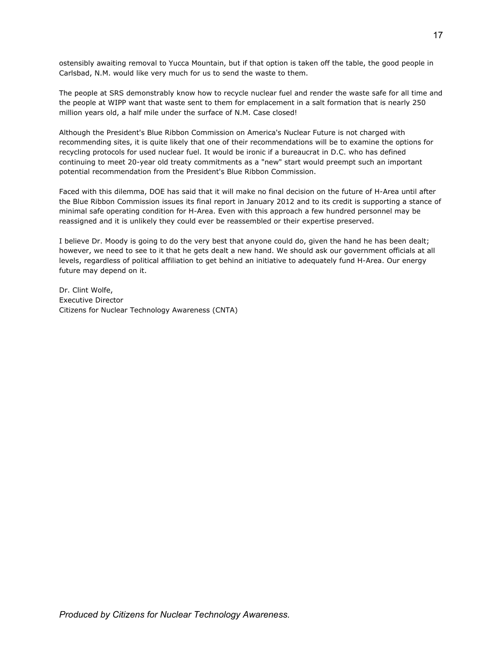ostensibly awaiting removal to Yucca Mountain, but if that option is taken off the table, the good people in Carlsbad, N.M. would like very much for us to send the waste to them.

The people at SRS demonstrably know how to recycle nuclear fuel and render the waste safe for all time and the people at WIPP want that waste sent to them for emplacement in a salt formation that is nearly 250 million years old, a half mile under the surface of N.M. Case closed!

Although the President's Blue Ribbon Commission on America's Nuclear Future is not charged with recommending sites, it is quite likely that one of their recommendations will be to examine the options for recycling protocols for used nuclear fuel. It would be ironic if a bureaucrat in D.C. who has defined continuing to meet 20-year old treaty commitments as a "new" start would preempt such an important potential recommendation from the President's Blue Ribbon Commission.

Faced with this dilemma, DOE has said that it will make no final decision on the future of H-Area until after the Blue Ribbon Commission issues its final report in January 2012 and to its credit is supporting a stance of minimal safe operating condition for H-Area. Even with this approach a few hundred personnel may be reassigned and it is unlikely they could ever be reassembled or their expertise preserved.

I believe Dr. Moody is going to do the very best that anyone could do, given the hand he has been dealt; however, we need to see to it that he gets dealt a new hand. We should ask our government officials at all levels, regardless of political affiliation to get behind an initiative to adequately fund H-Area. Our energy future may depend on it.

Dr. Clint Wolfe, Executive Director Citizens for Nuclear Technology Awareness (CNTA)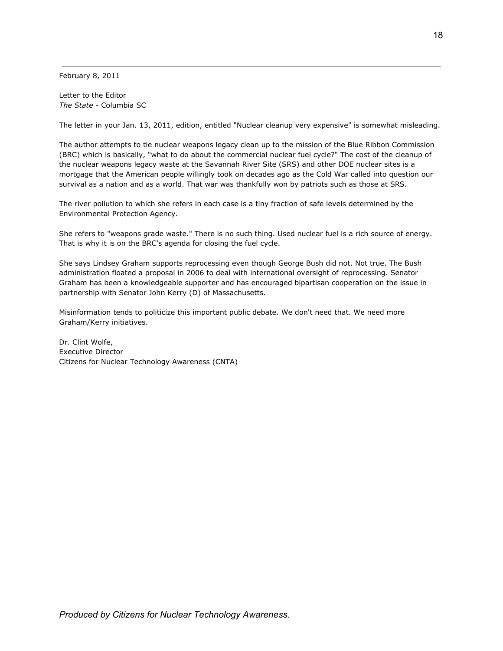February 8, 2011

Letter to the Editor *The State* - Columbia SC

The letter in your Jan. 13, 2011, edition, entitled "Nuclear cleanup very expensive" is somewhat misleading.

The author attempts to tie nuclear weapons legacy clean up to the mission of the Blue Ribbon Commission (BRC) which is basically, "what to do about the commercial nuclear fuel cycle?" The cost of the cleanup of the nuclear weapons legacy waste at the Savannah River Site (SRS) and other DOE nuclear sites is a mortgage that the American people willingly took on decades ago as the Cold War called into question our survival as a nation and as a world. That war was thankfully won by patriots such as those at SRS.

The river pollution to which she refers in each case is a tiny fraction of safe levels determined by the Environmental Protection Agency.

She refers to "weapons grade waste." There is no such thing. Used nuclear fuel is a rich source of energy. That is why it is on the BRC's agenda for closing the fuel cycle.

She says Lindsey Graham supports reprocessing even though George Bush did not. Not true. The Bush administration floated a proposal in 2006 to deal with international oversight of reprocessing. Senator Graham has been a knowledgeable supporter and has encouraged bipartisan cooperation on the issue in partnership with Senator John Kerry (D) of Massachusetts.

Misinformation tends to politicize this important public debate. We don't need that. We need more Graham/Kerry initiatives.

Dr. Clint Wolfe, Executive Director Citizens for Nuclear Technology Awareness (CNTA)